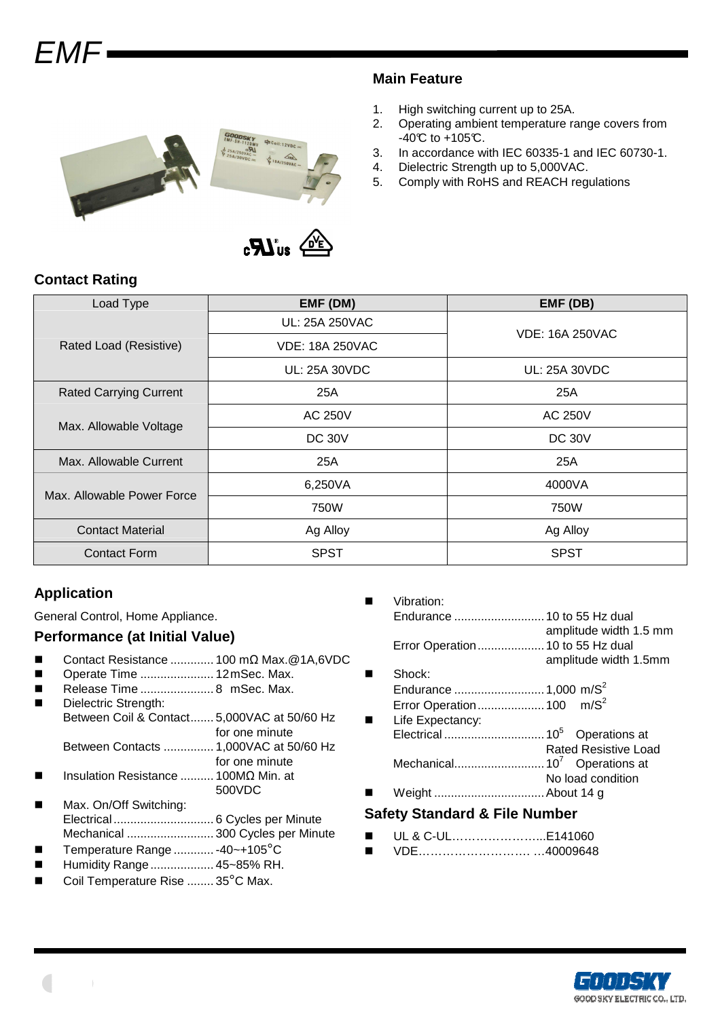# $F$  $N$  $F$



#### **Main Feature**

- 1. High switching current up to 25A.
- 2. Operating ambient temperature range covers from  $-40^{\circ}C$  to  $+105^{\circ}C$ .
- 3. In accordance with IEC 60335-1 and IEC 60730-1.
- 4. Dielectric Strength up to 5,000VAC.
- 5. Comply with RoHS and REACH regulations

## **Contact Rating**

| Load Type                     | EMF (DM)               | EMF (DB)               |  |
|-------------------------------|------------------------|------------------------|--|
|                               | UL: 25A 250VAC         | <b>VDE: 16A 250VAC</b> |  |
| Rated Load (Resistive)        | <b>VDE: 18A 250VAC</b> |                        |  |
|                               | UL: 25A 30VDC          | UL: 25A 30VDC          |  |
| <b>Rated Carrying Current</b> | 25A                    | 25A                    |  |
|                               | <b>AC 250V</b>         | <b>AC 250V</b>         |  |
| Max. Allowable Voltage        | <b>DC 30V</b>          | <b>DC 30V</b>          |  |
| Max. Allowable Current        | 25A                    | 25A                    |  |
| Max. Allowable Power Force    | 6,250VA                | 4000VA                 |  |
|                               | 750W                   | 750W                   |  |
| <b>Contact Material</b>       | Ag Alloy               | Ag Alloy               |  |
| Contact Form                  | <b>SPST</b>            | <b>SPST</b>            |  |

## **Application**

General Control, Home Appliance.

## **Performance (at Initial Value)**

- Contact Resistance ............. 100 mΩ Max.@1A,6VDC
- Operate Time ...................... 12 mSec. Max.
- Release Time ...................... 8 mSec. Max.
	- Dielectric Strength: Between Coil & Contact....... 5,000VAC at 50/60 Hz for one minute Between Contacts ............... 1,000VAC at 50/60 Hz
- for one minute Insulation Resistance .......... 100MΩ Min. at
- 500VDC
- Max. On/Off Switching: Electrical .............................. 6 Cycles per Minute Mechanical .......................... 300 Cycles per Minute
- Temperature Range ............ -40~+105°C
- Humidity Range................... 45~85% RH.
- Coil Temperature Rise ........ 35°C Max.
- **Name System** Vibration: Endurance ...........................10 to 55 Hz dual amplitude width 1.5 mm Error Operation....................10 to 55 Hz dual amplitude width 1.5mm Shock: Endurance ...........................1,000 m/S<sup>2</sup> Error Operation....................100 m/S<sup>2</sup> ■ Life Expectancy: Electrical ..............................10<sup>5</sup> Operations at Rated Resistive Load
- Mechanical...........................10<sup>7</sup> Operations at No load condition Weight .................................About 14 g

## **Safety Standard & File Number**

- UL & C-UL…………………...E141060
- VDE……………………………40009648